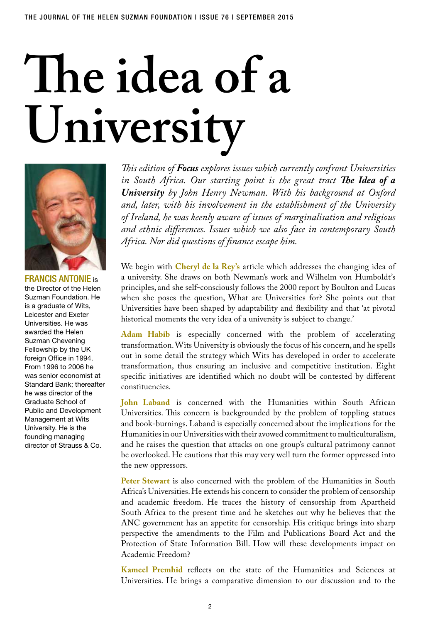## **The idea of a University**



Francis Antonie is the Director of the Helen Suzman Foundation. He is a graduate of Wits, Leicester and Exeter Universities. He was awarded the Helen Suzman Chevening Fellowship by the UK foreign Office in 1994. From 1996 to 2006 he was senior economist at Standard Bank; thereafter he was director of the Graduate School of Public and Development Management at Wits University. He is the founding managing director of Strauss & Co.

*This edition of Focus explores issues which currently confront Universities in South Africa. Our starting point is the great tract The Idea of a University by John Henry Newman. With his background at Oxford and, later, with his involvement in the establishment of the University of Ireland, he was keenly aware of issues of marginalisation and religious and ethnic differences. Issues which we also face in contemporary South Africa. Nor did questions of finance escape him.* 

We begin with **Cheryl de la Rey's** article which addresses the changing idea of a university. She draws on both Newman's work and Wilhelm von Humboldt's principles, and she self-consciously follows the 2000 report by Boulton and Lucas when she poses the question, What are Universities for? She points out that Universities have been shaped by adaptability and flexibility and that 'at pivotal historical moments the very idea of a university is subject to change.

**Adam Habib** is especially concerned with the problem of accelerating transformation. Wits University is obviously the focus of his concern, and he spells out in some detail the strategy which Wits has developed in order to accelerate transformation, thus ensuring an inclusive and competitive institution. Eight specific initiatives are identified which no doubt will be contested by different constituencies.

**John Laband** is concerned with the Humanities within South African Universities. This concern is backgrounded by the problem of toppling statues and book-burnings. Laband is especially concerned about the implications for the Humanities in our Universities with their avowed commitment to multiculturalism, and he raises the question that attacks on one group's cultural patrimony cannot be overlooked. He cautions that this may very well turn the former oppressed into the new oppressors.

Peter Stewart is also concerned with the problem of the Humanities in South Africa's Universities. He extends his concern to consider the problem of censorship and academic freedom. He traces the history of censorship from Apartheid South Africa to the present time and he sketches out why he believes that the ANC government has an appetite for censorship. His critique brings into sharp perspective the amendments to the Film and Publications Board Act and the Protection of State Information Bill. How will these developments impact on Academic Freedom?

**Kameel Premhid** reflects on the state of the Humanities and Sciences at Universities. He brings a comparative dimension to our discussion and to the